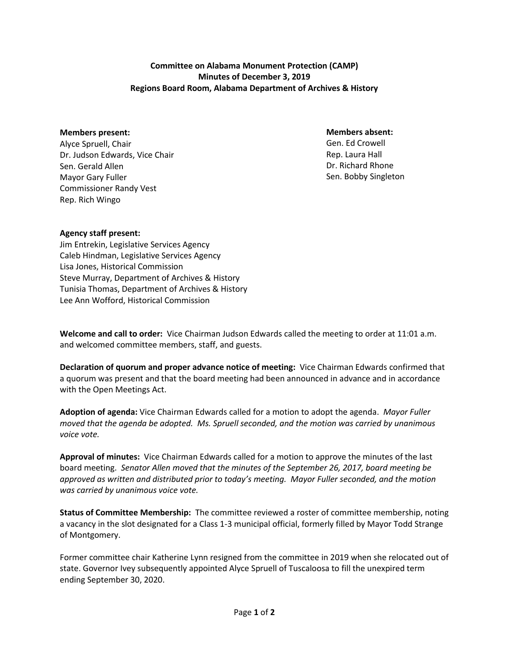**Committee on Alabama Monument Protection (CAMP) Minutes of December 3, 2019 Regions Board Room, Alabama Department of Archives & History**

## **Members present:**

Alyce Spruell, Chair Dr. Judson Edwards, Vice Chair Sen. Gerald Allen Mayor Gary Fuller Commissioner Randy Vest Rep. Rich Wingo

## **Members absent:**

Gen. Ed Crowell Rep. Laura Hall Dr. Richard Rhone Sen. Bobby Singleton

## **Agency staff present:**

Jim Entrekin, Legislative Services Agency Caleb Hindman, Legislative Services Agency Lisa Jones, Historical Commission Steve Murray, Department of Archives & History Tunisia Thomas, Department of Archives & History Lee Ann Wofford, Historical Commission

**Welcome and call to order:** Vice Chairman Judson Edwards called the meeting to order at 11:01 a.m. and welcomed committee members, staff, and guests.

**Declaration of quorum and proper advance notice of meeting:** Vice Chairman Edwards confirmed that a quorum was present and that the board meeting had been announced in advance and in accordance with the Open Meetings Act.

**Adoption of agenda:** Vice Chairman Edwards called for a motion to adopt the agenda. *Mayor Fuller moved that the agenda be adopted. Ms. Spruell seconded, and the motion was carried by unanimous voice vote.*

**Approval of minutes:** Vice Chairman Edwards called for a motion to approve the minutes of the last board meeting. *Senator Allen moved that the minutes of the September 26, 2017, board meeting be approved as written and distributed prior to today's meeting. Mayor Fuller seconded, and the motion was carried by unanimous voice vote.*

**Status of Committee Membership:** The committee reviewed a roster of committee membership, noting a vacancy in the slot designated for a Class 1-3 municipal official, formerly filled by Mayor Todd Strange of Montgomery.

Former committee chair Katherine Lynn resigned from the committee in 2019 when she relocated out of state. Governor Ivey subsequently appointed Alyce Spruell of Tuscaloosa to fill the unexpired term ending September 30, 2020.